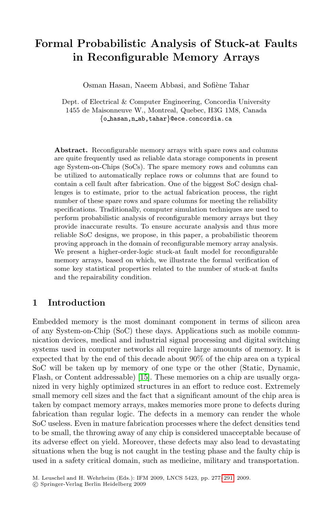# **Formal Probabilistic Analysis of Stuck-at Faults in Reconfigurable Memory Arrays**

Osman Hasan, Naeem Abbasi, and Sofiène Tahar

Dept. of Electrical & Computer Engineering, Concordia University 1455 de Maisonneuve W., Montreal, Quebec, H3G 1M8, Canada *{*<sup>o</sup> hasan,n ab,tahar*}*@ece.concordia.ca

**Abstract.** Reconfigurable memory arrays with spare rows and columns are quite frequently used as reliable data storage components in present age System-on-Chips (SoCs). The spare memory rows and columns can be utilized to automatically replace rows or columns that are found to contain a cell fault after fabrication. One of the biggest SoC design challenges is to estimate, prior to the actual fabrication process, the right number of these spare rows and spare columns for meeting the reliability specifications. Traditionally, computer simulation techniques are used to perform probabilistic analysis of reconfigurable memory arrays but they provide inaccurate results. To ensure accurate analysis and thus more reliable SoC designs, we propose, in this paper, a probabilistic theorem proving approach in the domain of reconfigurable memory array analysis. We present a higher-order-logic stuck-at fault model for reconfigurable memory arrays, based on which, we illustrate the formal verification of some key statistical properties related to the number of stuck-at faults and the repairability condition.

# **1 Intro[duc](#page-14-0)tion**

Embedded memory is the most dominant component in terms of silicon area of any System-on-Chip (SoC) these days. Applications such as mobile communication devices, medical and industrial signal processing and digital switching systems used in computer networks all require large amounts of memory. It is expected that by the end of this decade about 90% of the chip area on a typical SoC will be taken up by memory of one type or the other (Static, Dynamic, Flash, or Content addressable) [15]. These memories on a chip are usually organized in very highly optimized structures in an effort to reduce cost. Extremely small memory cell sizes and the fact that a significant amount of the chip area is taken by compact memory arrays, ma[kes](#page-14-1) memories more prone to defects during fabrication than regular logic. The defects in a memory can render the whole SoC useless. Even in mature fabrication processes where the defect densities tend to be small, the throwing away of any chip is considered unacceptable because of its adverse effect on yield. Moreover, these defects may also lead to devastating situations when the bug is not caught in the testing phase and the faulty chip is used in a safety critical domain, such as medicine, military and transportation.

M. Leuschel and H. Wehrheim (Eds.): IFM 2009, LNCS 5423, pp. 277–291, 2009.

<sup>-</sup>c Springer-Verlag Berlin Heidelberg 2009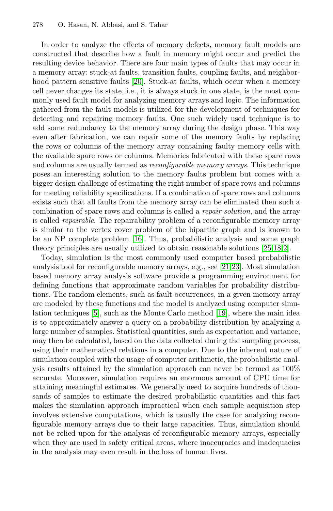In order to analyze the effects of memory defects, memory fault models are constructed that describe how a fault in memory might occur and predict the resulting device behavior. There are four main types of faults that may occur in a memory array: stuck-at faults, transition faults, coupling faults, and neighborhood pattern sensitive faults [20]. Stuck-at faults, which occur when a memory cell never changes its state, i.e., it is always stuck in one state, is the most commonly used fault model for analyzing memory arrays and logic. The information gathered from the fault models is utilized for the development of techniques for detecting and repairing memory faults. One such widely used technique is to add some redundancy to the memory array during the design phase. This way even after fabrication, we can repair some of the memory faults by replacing the rows or columns of the memory array containing faulty memory cells with the available spare rows or columns. Memories fabricated with these spare rows and colum[ns a](#page-14-2)re usually termed as *reconfigurable memory arrays*. This technique poses an interesting solution to the memory fau[lts](#page-14-3) [pr](#page-14-4)[ob](#page-13-0)lem but comes with a bigger design challenge of estimating the right number of spare rows and columns for meeting reliability specifications. [If a](#page-14-5) [co](#page-14-6)mbination of spare rows and columns exists such that all faults from the memory array can be eliminated then such a combination of spare rows and columns is called a *repair solution*, and the array is called *repairable*. The repairability problem of a reconfigurable memory array is similar to the vertex cover problem of the bipartite graph and is known to [b](#page-13-1)e an NP complete problem [16]. [Thu](#page-14-7)s, probabilistic analysis and some graph theory principles are usually utilized to obtain reasonable solutions [25,18,2].

Today, simulation is the most commonly used computer based probabilistic analysis tool for reconfigurable memory arrays, e.g., see [21,23]. Most simulation based memory array analysis software provide a programming environment for defining functions that approximate random variables for probability distributions. The random elements, such as fault occurrences, in a given memory array are modeled by these functions and the model is analyzed using computer simulation techniques [5], such as the Monte Carlo method [19], where the main idea is to approximately answer a query on a probability distribution by analyzing a large number of samples. Statistical quantities, such as expectation and variance, may then be calculated, based on the data collected during the sampling process, using their mathematical relations in a computer. Due to the inherent nature of simulation coupled with the usage of computer arithmetic, the probabilistic analysis results attained by the simulation approach can never be termed as 100% accurate. Moreover, simulation requires an enormous amount of CPU time for attaining meaningful estimates. We generally need to acquire hundreds of thousands of samples to estimate the desired probabilistic quantities and this fact makes the simulation approach impractical when each sample acquisition step involves extensive computations, which is usually the case for analyzing reconfigurable memory arrays due to their large capacities. Thus, simulation should not be relied upon for the analysis of reconfigurable memory arrays, especially when they are used in safety critical areas, where inaccuracies and inadequacies in the analysis may even result in the loss of human lives.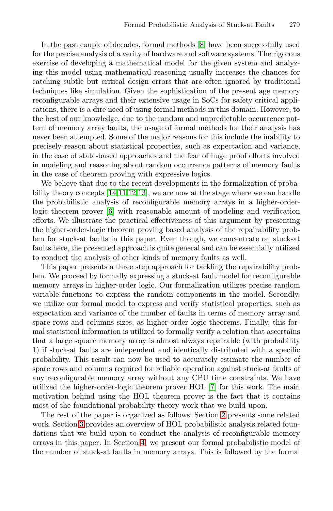In the past couple of decades, formal methods [8] have been successfully used for the precise analysis of a verity of hardware and software systems. The rigorous exercise of developing a mathematical model for the given system and analyzing this model using mathematical reasoning usually increases the chances for catching subtle but critical design errors that are often ignored by traditional techniques like simulation. Given the sophistication of the present age memory reconfigurable arrays and their extensive usage in SoCs for safety critical applications, there is a dire need of using formal methods in this domain. However, to the [be](#page-14-8)[st o](#page-14-9)[f o](#page-14-10)[ur](#page-14-11) knowledge, due to the random and unpredictable occurrence pattern of memory array faults, the usage of formal methods for their analysis has ne[ver](#page-13-2) been attempted. Some of the major reasons for this include the inability to precisely reason about statistical properties, such as expectation and variance, in the case of state-based approaches and the fear of huge proof efforts involved in modeling and reasoning about random occurrence patterns of memory faults in the case of theorem proving with expressive logics.

We believe that due to the recent developments in the formalization of probability theory concepts [14,11,12,13], we are now at the stage where we can handle the probabilistic analysis of reconfigurable memory arrays in a higher-orderlogic theorem prover [6] with reasonable amount of modeling and verification efforts. We illustrate the practical effectiveness of this argument by presenting the higher-order-logic theorem proving based analysis of the repairability problem for stuck-at faults in this paper. Even though, we concentrate on stuck-at faults here, the presented approach is quite general and can be essentially utilized to conduct the analysis of other kinds of memory faults as well.

This paper presents a three step approach for tackling the repairability problem. We proceed by formally expressing a stuck-at fault model for reconfigurable memory arrays in higher-order logic. Our formalization utilizes precise random variable functions to express the random components in the model. Secondly, we utilize our formal model to express and verify statistical properties, such as expectation and variance of the n[um](#page-14-12)ber of faults in terms of memory array and spare rows and columns sizes, as higher-order logic theorems. Finally, this formal statistical information is utilized to formally verify a relation that ascertains that a large square memory array is [al](#page-3-0)most always repairable (with probability 1) if stuck-at faults are independent and identically distributed with a specific probability. This result can now be used to accurately estimate the number of spare rows a[nd](#page-6-0) columns required for reliable operation against stuck-at faults of any reconfigurable memory array without any CPU time constraints. We have utilized the higher-order-logic theorem prover HOL [7] for this work. The main motivation behind using the HOL theorem prover is the fact that it contains most of the foundational probability theory work that we build upon.

The rest of the paper is organized as follows: Section 2 presents some related work. Section 3 provides an overview of HOL probabilistic analysis related foundations that we build upon to conduct the analysis of reconfigurable memory arrays in this paper. In Section 4, we present our formal probabilistic model of the number of stuck-at faults in memory arrays. This is followed by the formal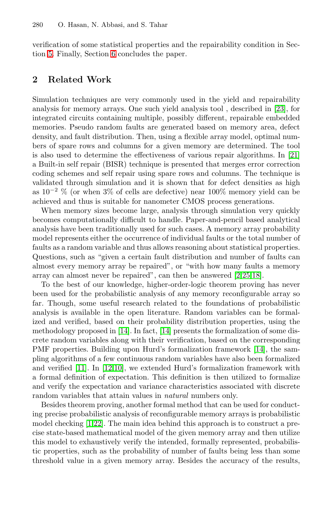<span id="page-3-0"></span>verification of some statistical properties and the repairability condition in Section 5. Finally, Section 6 concludes the paper.

# **2 Related Work**

Simulation techniques are very commonly used in the yield and repairability analysis for memory arrays. One such yield analysis tool , described in [23], for integrated circuits containing multiple, possibly different, repairable embedded memories. Pseudo random faults are generated based on memory area, defect density, and fault distribution. Then, using a flexible array model, optimal numbers of spare rows and columns for a given memory are determined. The tool is also used to determine the effectiveness of various repair algorithms. In [21] a Built-in self repair (BISR) technique is presented that merges error correction coding schemes and self repair using spare rows and columns. The technique is validated through simulation and it is shown that for defect densities as high as 10−<sup>2</sup> % (or when 3% of cells are defective) near 100% memory yield can be achieved and thus is suitable for nanome[te](#page-13-0)[r C](#page-14-3)[MO](#page-14-4)S process generations.

When memory sizes become large, analysis through simulation very quickly becomes computationally difficult to handle. Paper-and-pencil based analytical analysis have been traditionally used for such cases. A memory array probability model represents either the occurrence of individual faults or the total number of faults as a random variable and thus allows reasoning about statistical properties. Questi[ons](#page-14-8), such as ["gi](#page-14-8)ven a certain fault distribution and number of faults can almost every memory array be repaired", or "with how many faults a memory array can almost never be repaired", can then [be](#page-14-8) answered [2,25,18].

To the best of our knowledge, higher-order-logic theorem proving has never b[een](#page-14-10) [use](#page-14-13)d for the probabilistic analysis of any memory reconfigurable array so far. Though, some useful research related to the foundations of probabilistic analysis is available in the open literature. Random variables can be formalized and verified, based on their probability distribution properties, using the methodology proposed in [14]. In fact, [14] presents the formalization of some discrete random variables along with their verification, based on the corresponding [PM](#page-14-14)F properties. Building upon Hurd's formalization framework [14], the sampling algorithms of a few continuous random variables have also been formalized and verified [11]. In [12,10], we extended Hurd's formalization framework with a formal definition of expectation. This definition is then utilized to formalize and verify the expectation and variance characteristics associated with discrete random variables that attain values in *natural* numbers only.

Besides theorem proving, another formal method that can be used for conducting precise probabilistic analysis of reconfigurable memory arrays is probabilistic model checking [1,22]. The main idea behind this approach is to construct a precise state-based mathematical model of the given memory array and then utilize this model to exhaustively verify the intended, formally represented, probabilistic properties, such as the probability of number of faults being less than some threshold value in a given memory array. Besides the accuracy of the results,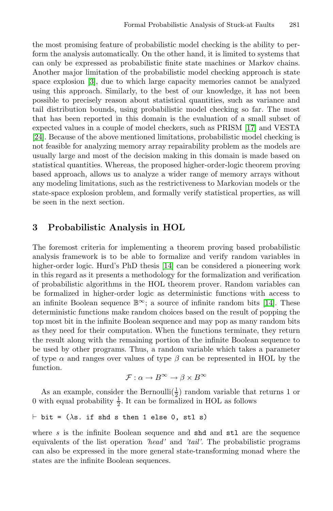the most promising feature of probabilistic model checking is the ability to perform the analysis automatically. On the othe[r ha](#page-14-15)nd, it is limited to systems that can only be expressed as probabilistic finite state machines or Markov chains. Another major limitation of the probabilistic model checking approach is state space explosion [3], due to which large capacity memories cannot be analyzed using this approach. Similarly, to the best of our knowledge, it has not been possible to precisely reason about statistical quantities, such as variance and tail distribution bounds, using probabilistic model checking so far. The most that has been reported in this domain is the evaluation of a small subset of expected values in a couple of model checkers, such as PRISM [17] and VESTA [24]. Because of the above mentioned limitations, probabilistic model checking is not feasible for analyzing memory array repairability problem as the models are usually large and most of the decision making in this domain is made based on statistical quantities. Whereas, the proposed higher-order-logic theorem proving based approach, allows us to analyze a wider range of memory arrays without any modeling limitations, such as the restrictiveness to Markovian models or the state-space explosio[n p](#page-14-8)roblem, and formally verify statistical properties, as will be seen in the next section.

# **3 Probabilistic Analysis in HOL**

The foremost criteria for implementing a theorem proving based probabilistic analysis framework is to be able to formalize and verify random variables in higher-order logic. Hurd's PhD thesis [14] can be considered a pioneering work in this regard as it presents a methodology for the formalization and verification of probabilistic algorithms in the HOL theorem prover. Random variables can be formalized in higher-order logic as deterministic functions with access to an infinite Boolean sequence  $\mathbb{B}^{\infty}$ ; a source of infinite random bits [14]. These deterministic functions make random choices based on the result of popping the top most bit in the infinite Boolean sequence and may pop as many random bits as they need for their computation. When the functions terminate, they return the result along with the remaining portion of the infinite Boolean sequence to be used by other programs. Thus, a random variable which takes a parameter of type  $\alpha$  and ranges over values of type  $\beta$  can be represented in HOL by the function.

$$
\mathcal{F}: \alpha \to B^{\infty} \to \beta \times B^{\infty}
$$

As an example, consider the Bernoulli $(\frac{1}{2})$  random variable that returns 1 or 0 with equal probability  $\frac{1}{2}$ . It can be formalized in HOL as follows

### $\vdash$  bit = ( $\lambda$ s. if shd s then 1 else 0, stl s)

where *s* is the infinite Boolean sequence and **shd** and **stl** are the sequence equivalents of the list operation *'head'* and *'tail'*. The probabilistic programs can also be expressed in the more general state-transforming monad where the states are the infinite Boolean sequences.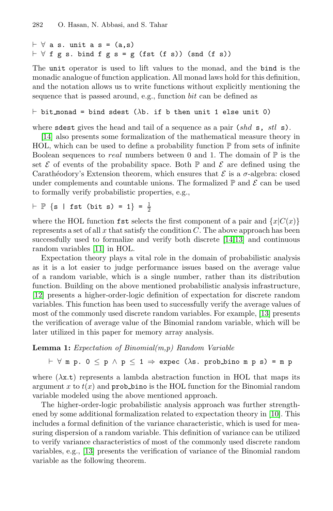$\vdash \forall$  a s. unit a s =  $(a,s)$  $\vdash \forall$  f g s. bind f g s = g (fst (f s)) (snd (f s))

The unit operator is used to lift values to the monad, and the bind is the monadic analogue of function application. All monad laws hold for this definition, and the notation allows us to write functions without explicitly mentioning the sequence that is passed around, e.g., function *bit* can be defined as

#### $\vdash$  bit monad = bind sdest ( $\lambda$ b. if b then unit 1 else unit 0)

where sdest gives the head and tail of a sequence as a pair (shd s, stl s).

[14] also presents some formalization of the mathematical measure theory in HOL, which can be used to define a probability function  $\mathbb P$  from sets of infinite Boolean sequences to real numbers between 0 and 1. The domain of  $\mathbb P$  is the set  $\mathcal E$  of events of the probability sp[ace](#page-14-8)[. B](#page-14-11)oth  $\mathbb P$  and  $\mathcal E$  are defined using the [Ca](#page-14-9)rathéodory's Extension theorem, which ensures that  $\mathcal E$  is a  $\sigma$ -algebra: closed under complements and countable unions. The formalized  $\mathbb P$  and  $\mathcal E$  can be used to formally verify probabilistic properties, e.g.,

$$
\vdash
$$
 P {s | fst (bit s) = 1} =  $\frac{1}{2}$ 

where the HOL function fst selects the first component of a pair and  ${x|C(x)}$ represents a set of all x that satisfy the condition  $C$ . The above approach has been successfully used to formalize and verify both [disc](#page-14-11)rete [14,13] and continuous random variables [11] in HOL.

Expectation theory plays a vital role in the domain of probabilistic analysis as it is a lot easier to judge performance issues based on the average value of a random variable, which is a single number, rather than its distribution function. Building on the above mentioned probabilistic analysis infrastructure, [12] presents a higher-order-logic definition of expectation for discrete random variables. This function has been used to successfully verify the average values of most of the commonly used discrete random variables. For example, [13] presents the verification of average value of the Binomial random variable, which will be later utilized in this paper for memory array analysis.

**Lemma 1:** *Expectation of Binomial(m,p) Random [Va](#page-14-13)riable*

 $\vdash \forall$  m p. 0  $\leq$  p  $\land$  p  $\leq$  1  $\Rightarrow$  expec ( $\lambda$ s. prob\_bino m p s) = m p

where  $(\lambda x.t)$  represents a lambda abstraction function in HOL that maps its argument x to  $t(x)$  and prob bino is the HOL function for the Binomial random variable modeled using the above mentioned approach.

The higher-order-logic probabilistic analysis approach was further strengthened by some additional formalization related to expectation theory in [10]. This includes a formal definition of the variance characteristic, which is used for measuring dispersion of a random variable. This definition of variance can be utilized to verify variance characteristics of most of the commonly used discrete random variables, e.g., [13] presents the verification of variance of the Binomial random variable as the following theorem.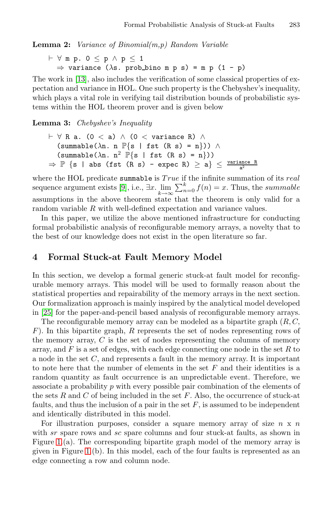**Lemma 2:** *Variance of Binomial(m,p) Random Variable*

 $\vdash \forall$  m p. 0  $\leq$  p  $\land$  p  $\leq$  1  $\Rightarrow$  variance ( $\lambda$ s. prob\_bino m p s) = m p (1 - p)

The work in [13], also includes the verification of some classical properties of expectation and variance in HOL. One such property is the Chebyshev's inequality, which plays a vital role in verifying tail distribution bounds of probabilistic systems within the HOL theorem prover and is given below

**Lemma 3:** *Chebyshev's Inequality*

```
\vdash \forall R a. (0 < a) \land (0 < variance R) \land(\text{summable}(\lambda n. n \mathbb{P}\{s \mid \text{fst}(R s) = n\})) \wedge(summable(\lambdan. n<sup>2</sup> P{s | fst (R s) = n}))
\Rightarrow \mathbb{P} {s | abs (fst (R s) - expec R) \geq a} \leq \frac{\text{variance R}}{a^2}
```
<span id="page-6-0"></span>where the HOL predicate summable is  $True$  if the infinite summation of its  $real$ sequence argument exists [9], i.e.,  $\exists x \cdot \lim_{k \to \infty} \sum_{n=0}^{k} f(n) = x$ . Thus, the summable assumptions in the above theorem state that the theorem is only valid for a random variable R with well-defined expectation and variance values.

In this paper, we utilize the above mentioned infrastructure for conducting formal probabilistic analysis of reconfigurable memory arrays, a novelty that to the best of our knowledge does not exist in the open literature so far.

# **4 Formal Stuck-at Fault Memory Model**

In this section, we develop a formal generic stuck-at fault model for reconfigurable memory arrays. This model will be used to formally reason about the statistical properties and repairability of the memory arrays in the next section. Our formalization approach is mainly inspired by the analytical model developed in [25] for the paper-and-pencil based analysis of reconfigurable memory arrays.

The reconfigurable memory array can be modeled as a bipartite graph  $(R, C, \mathbb{R})$  $F$ ). In this bipartite graph, R represents the set of nodes representing rows of the memory array,  $C$  is the set of nodes representing the columns of memory array, and  $F$  is a set of edges, with each edge connecting one node in the set  $R$  to a node in the set C, and represents a fault in the memory array. It is important to note here that the number of elements in the set  $F$  and their identities is a random quantity as fault occurrence is an unpredictable event. Therefore, we associate a probability p with every possible pair combination of the elements of the sets R and C of being included in the set  $F$ . Also, the occurrence of stuck-at faults, and thus the inclusion of a pair in the set  $F$ , is assumed to be independent and identically distributed in this model.

For illustration purposes, consider a square memory array of size  $n \times n$ with sr spare rows and sc spare columns and four stuck-at faults, as shown in Figure 1.(a). The corresponding bipartite graph model of the memory array is given in Figure 1.(b). In this model, each of the four faults is represented as an edge connecting a row and column node.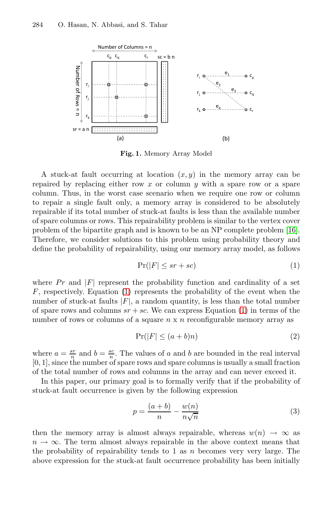

**Fig. 1.** Memory Array Model

<span id="page-7-0"></span>A stuck-at fault occurring at location  $(x, y)$  in the memory array can be repaired by replacing either row  $x$  or column  $y$  with a spare row or a spare column. Thus, in the worst case scenario when we require one row or column to repair a single fault only, a memory array is considered to be absolutely repairable if its total number of stuck-at faults is less than the available number of spare [co](#page-7-0)lumns or rows. This repairability problem is similar to the vertex cover problem of the bipartite graph and is known to be an NP complete problem [16]. Therefore, we consider solutions to this p[ro](#page-7-0)blem using probability theory and define the probability of repairability, using our memory array model, as follows

$$
\Pr(|F| \le sr + sc) \tag{1}
$$

where Pr and  $|F|$  represent the probability function and cardinality of a set  $F$ , respectively. Equation (1) represents the probability of the event when the number of stuck-at faults  $|F|$ , a random quantity, is less than the total number of spare rows and columns  $sr + sc$ . We can express Equation (1) in terms of the number of rows or columns of a square  $n \times n$  reconfigurable memory array as

$$
\Pr(|F| \le (a+b)n) \tag{2}
$$

<span id="page-7-1"></span>where  $a = \frac{sr}{n}$  and  $b = \frac{sc}{n}$ . The values of a and b are bounded in the real interval [0, 1], since the number of spare rows and spare columns is usually a small fraction of the total number of rows and columns in the array and can never exceed it.

In this paper, our primary goal is to formally verify that if the probability of stuck-at fault occurrence is given by the following expression

$$
p = \frac{(a+b)}{n} - \frac{w(n)}{n\sqrt{n}}\tag{3}
$$

then the memory array is almost always repairable, whereas  $w(n) \rightarrow \infty$  as  $n \to \infty$ . The term almost always repairable in the above context means that the probability of repairability tends to 1 as  $n$  becomes very very large. The above expression for the stuck-at fault occurrence probability has been initially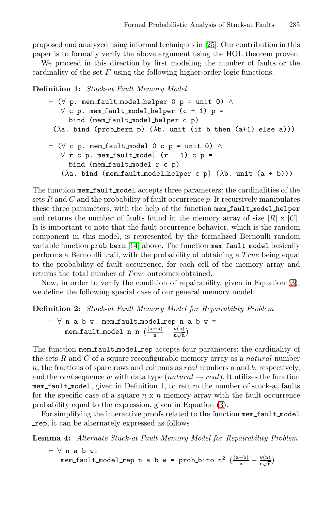proposed and analyzed using informal techniques in [25]. Our contribution in this paper is to formally verify the above argument using the HOL theorem prover.

We proceed in this direction by first modeling the number of faults or the cardinality of the set  $F$  using the following higher-order-logic functions.

#### **Definition 1:** *Stuck-at Fault Memory Model*

```
 (∀ p. mem fault model helper 0 p = unit 0) ∧
   \forall c p. mem_fault_model_helper (c + 1) p =
     bind (mem fault model helper c p)
 (\lambdaa. bind (prob_bern p) (\lambdab. unit (if b then (a+1) else a)))
\vdash (\forall c p. mem_fault_model 0 c p = unit 0) \land\forall r c p. mem_fault_model (r + 1) c p =
     bind (mem fault model r c p)
   (\lambdaa. bind (mem_fault_model_helper c p) (\lambdab. unit (a + b)))
```
The function mem fault model accepts three parameters: the cardinalities of the sets R and C and the probability of fault occurrence  $p$ . It recursively manipulates these three parameters, with the help of the function mem [f](#page-7-1)ault model helper and returns the number of faults found in the memory array of size  $|R| \times |C|$ . It is important to note that the fault occurrence behavior, which is the random component in this model, is represented by the formalized Bernoulli random variable function prob bern [14] above. The function mem fault model basically performs a Bernoulli trail, with the probability of obtaining a  $True$  being equal to the probability of fault occurrence, for each cell of the memory array and returns the total number of *True* outcomes obtained.

Now, in order to verify the condition of repairability, given in Equation (3), we define the following special case of our general memory model.

**Definition 2:** *Stuck-at Fault Memory Model for Repairability Problem*

 ∀ n a b w. mem fault model rep n a b w =  ${\tt mem\_fault\_model}$  [n](#page-7-1) n  $\textstyle{\frac{(a+b)}{n}-\frac{w(n)}{n\sqrt{n}})}$ 

The function mem\_fault\_model\_rep accepts four parameters: the cardinality of the sets R and C of a square reconfigurable memory array as a *natural* number n, the fractions of spare rows and columns as real numbers  $a$  and  $b$ , respectively, and the real sequence w with data type (natural  $\rightarrow$  real). It utilizes the function mem fault model, given in Definition 1, to return the number of stuck-at faults for the specific case of a square  $n \times n$  memory array with the fault occurrence probability equal to the expression, given in Equation (3).

For simplifying the interactive proofs related to the function mem\_fault\_model rep, it can be alternately expressed as follows

**Lemma 4:** *Alternate Stuck-at Fault Memory Model for Repairability Problem*

```
 ∀ n a b w.
     mem_fault_model_rep n a b w = prob_bino n^2 \frac{(\frac{a+b}{n})}{n} - \frac{w(n)}{n\sqrt{n}}
```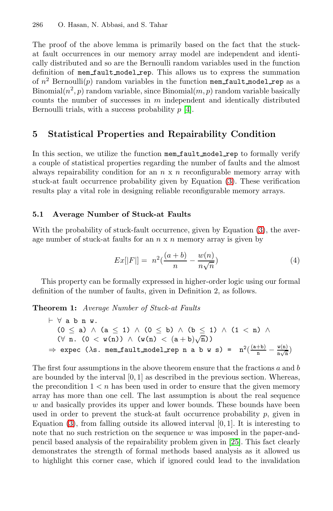The proof of the above l[em](#page-13-3)ma is primarily based on the fact that the stuckat fault occurrences in our memory array model are independent and identically distributed and so are the Bernoulli random variables used in the function definition of mem fault model rep. This allows us to express the summation of  $n^2$  Bernoulli(p) random variables in the function mem fault model rep as a Binomial $(n^2, p)$  random variable, since Binomial $(m, p)$  random variable basically counts the number of successes in  $m$  independent and identically distributed Bernoulli trials, with a success probabi[lit](#page-7-1)y  $p \; [4]$ .

# **5 Statistical Properties and Repairability Condition**

In this section, we utilize the function mem fau[lt](#page-7-1) model rep to formally verify a couple of statistical properties regarding the number of faults and the almost always repairability condition for an  $n \times n$  reconfigurable memory array with stuck-at fault occurrence probability given by Equation (3). These verification results play a vital role in designing reliable reconfigurable memory arrays.

#### **5.1 Average Number of Stuck-at Faults**

With the probability of stuck-fault occurrence, given by Equation  $(3)$ , the average number of stuck-at faults for an  $n \times n$  memory array is given by

$$
Ex[|F|] = n^2(\frac{(a+b)}{n} - \frac{w(n)}{n\sqrt{n}})
$$
\n(4)

This property can be formally expressed in higher-order logic using our formal definition of the number of faults, given in Definition 2, as follows.

**Theorem 1:** *Average Number of Stuck-at Faults*

 ∀ a b n w.  $(0 \le a) \land (a \le 1) \land (0 \le b) \land (b \le 1) \land (1 < n) \land$ ( $\forall$  n. (0 < w(n)) ∧ (w(n) < (a + b) $\sqrt{n}$ ))  $\Rightarrow$  expec ( $\lambda$ s. mem\_fault\_model\_rep n a b w s) =  $n^2(\frac{(a+b)}{n}-\frac{w(n)}{n\sqrt{n}})$ 

The first four assumptions in the above [theo](#page-14-3)rem ensure that the fractions  $a$  and  $b$ are bounded by the interval [0, 1] as described in the previous section. Whereas, the precondition  $1 < n$  has been used in order to ensure that the given memory array has more than one cell. The last assumption is about the real sequence  $w$  and basically provides its upper and lower bounds. These bounds have been used in order to prevent the stuck-at fault occurrence probability  $p$ , given in Equation  $(3)$ , from falling outside its allowed interval  $[0, 1]$ . It is interesting to note that no such restriction on the sequence  $w$  was imposed in the paper-andpencil based analysis of the repairability problem given in [25]. This fact clearly demonstrates the strength of formal methods based analysis as it allowed us to highlight this corner case, which if ignored could lead to the invalidation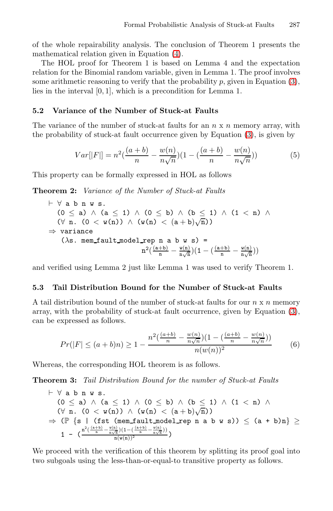of the whole repairability analysis. The conclusion of Theorem 1 presents the mathematical relation given in Equation (4).

The HOL proof for Theorem 1 is based [on](#page-7-1) Lemma 4 and the expectation relation for the Binomial random variable, given in Lemma 1. The proof involves some arithmetic reasoning to verify that the probability  $p$ , given in Equation (3), lies in the interval [0, 1], which is a precondition for Lemma 1.

### **5.2 Variance of the Number of Stuck-at Faults**

The variance of the number of stuck-at faults for an  $n \times n$  memory array, with the probability of stuck-at fault occurrence given by Equation (3), is given by

$$
Var[|F|] = n^2 \left(\frac{(a+b)}{n} - \frac{w(n)}{n\sqrt{n}}\right) \left(1 - \left(\frac{(a+b)}{n} - \frac{w(n)}{n\sqrt{n}}\right)\right) \tag{5}
$$

This property can be formally expressed in HOL as follows

**Theorem 2:** *Variance of the Number of Stuck-at Faults*

 ∀ a b n w s.  $(0 \le a)$  ∧  $(a \le 1)$  ∧  $(0 \le b)$  ∧  $(b \le 1)$  ∧  $(1 \le n)$  ∧ ( $\forall$  n. (0 < w(n)) ∧ (w(n) < (a + b) $\sqrt{n}$ )) ⇒ variance  $(\lambda s.$  mem fault model rep n a b w s) =  $\mathtt{n}^2(\tfrac{(\mathtt{a}+\mathtt{b})}{\mathtt{n}}-\tfrac{\mathtt{w}(\mathtt{n})}{\mathtt{n}\sqrt{\mathtt{n}}})(1-(\tfrac{(\mathtt{a}+\mathtt{b})}{\mathtt{n}}-\tfrac{\mathtt{w}(\mathtt{n})}{\mathtt{n}\sqrt{\mathtt{n}}}))$ 

and verified using Lemma 2 just like Lemma 1 was used to verify Theorem 1.

### **5.3 Tail Distribution Bound for the Number of Stuck-at Faults**

A tail distribution bound of the number of stuck-at faults for our  $n \times n$  memory array, with the probability of stuck-at fault occurrence, given by Equation (3), can be expressed as follows.

$$
Pr(|F| \le (a+b)n) \ge 1 - \frac{n^2(\frac{(a+b)}{n} - \frac{w(n)}{n\sqrt{n}})(1 - (\frac{(a+b)}{n} - \frac{w(n)}{n\sqrt{n}}))}{n(w(n))^2} \tag{6}
$$

Whereas, the corresponding HOL theorem is as follows.

**Theorem 3:** *Tail Distribution Bound for the number of Stuck-at Faults*

 $\vdash \forall$  a b n w s.  $(0 \le a) \land (a \le 1) \land (0 \le b) \land (b \le 1) \land (1 < n) \land$ ( $\forall$  n. (0 < w(n)) ∧ (w(n) < (a + b) $\sqrt{n}$ ))  $\Rightarrow$  ( $\mathbb{P}$  {s | (fst (mem\_fault\_model\_rep n a b w s))  $\leq$  (a + b)n}  $\geq$ 1 -  $\left( \frac{n^2(\frac{(a+b)}{n} - \frac{\mathsf{w}(n)}{n\sqrt{n}})(1 - (\frac{(a+b)}{n} - \frac{\mathsf{w}(n)}{n\sqrt{n}}))}{n(\mathsf{w}(n))^2} \right)$ 

We proceed with the verification of this theorem by splitting its proof goal into two subgoals using the less-than-or-equal-to transitive property as follows.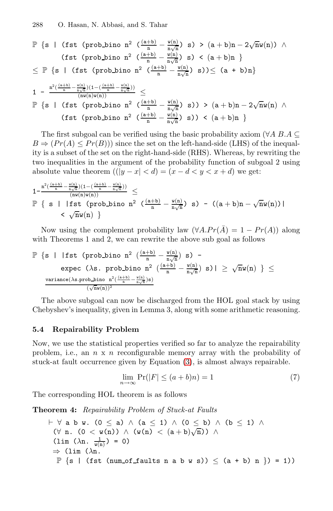$\mathbb P \{s \mid (fst (prob\_bino n^2 (\frac{(a+b)}{n} - \frac{w(n)}{n\sqrt{n}}) s) > (a+b)n - 2\sqrt{n}w(n)) \wedge$ (fst (prob\_bino  $n^2$  ( $\frac{(a+b)}{n} - \frac{w(n)}{n\sqrt{n}}$ ) s) <  $(a + b)n$  }  $\leq$   $\mathbb{P}$  {s | (fst (prob\_bino n<sup>2</sup> ( $\frac{(a+b)}{n} - \frac{w(n)}{n\sqrt{n}}$ ) s)) $\leq$  (a + b)n}  $1 - \frac{\frac{n^2(\frac{(a+b)}{n} - \frac{v(n)}{n\sqrt{n}})(1 - (\frac{(a+b)}{n} - \frac{v(n)}{n\sqrt{n}}))}{(n w(n) w(n))}} \leq$  $\mathbb{P}$  {s | (fst (prob\_bino n<sup>2</sup> ( $\frac{(a+b)}{n} - \frac{w(n)}{n\sqrt{n}}$ ) s)) >  $(a+b)n - 2\sqrt{n}w(n)$   $\wedge$ 

(fst (prob\_bino  $n^2 \left( \frac{(a+b)}{n} - \frac{w(n)}{n\sqrt{n}} \right)$  s)) <  $(a+b)n$  } The first subgoal can be verified using the basic probability axiom ( $\forall A \ B.A \subseteq$  $B \Rightarrow (Pr(A) \leq Pr(B))$  since the set on the left-hand-side (LHS) of the inequality is a subset of the set on the right-hand-side (RHS). Whereas, by rewriting the two inequalities in the argument of the probability function of subgoal 2 using

absolute value theorem 
$$
((|y-x| < d) = (x-d < y < x+d)
$$
 we get:\n\n
$$
1 - \frac{n^2(\frac{(a+b)}{n} - \frac{v(n)}{n})(1 - (\frac{(a+b)}{n} - \frac{v(n)}{n\sqrt{n}}))}{(nw(n)w(n))} \leq \mathbb{P}\left\{ s \mid |fst (prob\Delta b) \geq 0 \right\} \leq \sqrt{nw(n)} \left\{ s \mid |fst (prob\Delta b) \geq 0 \right\}
$$

Now using the complement probability law  $(\forall A. Pr(\overline{A})=1 - Pr(A))$  along with Theorems 1 and 2, we can rewrite the above sub goal as follows

$$
\mathbb{P}\left\{s \ | \ |fst\ \text{(prob\_bino}\ n^2\ \textstyle\frac{(a+b)}{n} - \frac{w(n)}{n\sqrt{n}}\textstyle\right)\ s\textstyle\right\}-\\\text{expect }(\lambda s.\ \text{prob\_bino}\ n^2\ \textstyle\frac{(a+b)}{n} - \frac{w(n)}{n\sqrt{n}}\textstyle\right)\ s\textstyle\big|\ \geq \sqrt{n}w(n)\ \big\}\leq\\\frac{\text{variance}(\lambda s.\ \text{prob\_bino}\ n^2(\frac{(a+b)}{n} - \frac{w(n)}{n\sqrt{n}})s)}{(\sqrt{n}w(n))^2}
$$

The above subgoal can now be discharged from the HOL goal stack by using Chebyshev's inequality, given in Lemma 3, along with some arithmetic reasoning.

### **5.4 Repairability Problem**

Now, we use the statistical properties verified so far to analyze the repairability problem, i.e., an  $n \times n$  reconfigurable memory array with the probability of stuck-at fault occurrence given by Equation (3), is almost always repairable.

$$
\lim_{n \to \infty} \Pr(|F| \le (a+b)n) = 1 \tag{7}
$$

The corresponding HOL theorem is as follows

**Theorem 4:** *Repairability Problem of Stuck-at Faults*

$$
\vdash \forall \text{ a b w. } (0 \leq a) \land (a \leq 1) \land (0 \leq b) \land (b \leq 1) \land
$$
  
\n
$$
(\forall n. (0 < w(n)) \land (w(n) < (a+b)\sqrt{n})) \land
$$
  
\n
$$
(\lim (\lambda n. \frac{1}{w(n)}) = 0)
$$
  
\n
$$
\Rightarrow (\lim (\lambda n. \frac{1}{\pi}) \cdot f(\text{st } (\text{num of } \text{faults } n \text{ a b w s})) \leq (a + b) n ) = 1))
$$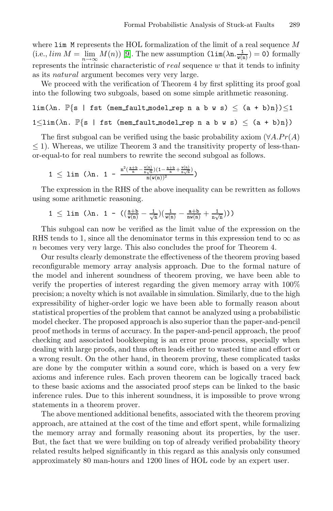where  $\lim M$  represents the HOL formalization of the limit of a real sequence  $M$ (i.e.,  $\lim M = \lim_{n \to \infty} M(n)$ ) [9]. The new assumption  $(\lim_{n \to \infty} (\lambda_n, \frac{1}{\nu(n)}) = 0)$  formally represents the intrinsic characteristic of real sequence  $w$  that it tends to infinity as its natural argument becomes very very large.

We proceed with the verification of Theorem 4 by first splitting its proof goal into the following two subgoals, based on some simple arithmetic reasoning.

$$
\lim(\lambda n. \mathbb{P}\{s \mid \text{fst } (\text{mem\_fault\_model\_rep } n \text{ a } b w s) \leq (a + b)n\}) \leq 1
$$
  

$$
1 \leq \lim(\lambda n. \mathbb{P}\{s \mid \text{fst } (\text{mem\_fault\_model\_rep } n \text{ a } b w s) \leq (a + b)n\})
$$

The first subgoal can be verified using the basic probability axiom  $(\forall A.Pr(A))$ ≤ 1). Whereas, we utilize Theorem 3 and the transitivity property of less-thanor-equal-to for real numbers to rewrite the second subgoal as follows.

$$
1\;\leq\; \text{lim}\;\; (\lambda n\;,\;\; 1\;-\;\tfrac{\;\;n^2(\frac{a+b}{n}-\frac{v(n)}{n\sqrt{n}})(1-\frac{a+b}{n}+\frac{v(n)}{n\sqrt{n}})}{n(v(n))^2})
$$

The expression in the RHS of the above inequality can be rewritten as follows using some arithmetic reasoning.

$$
1 \, \leq \, \lim \, \, (\lambda n \, . \ 1 \, - \, ((\tfrac{a+b}{w(n)} - \tfrac{1}{\sqrt{n}})(\tfrac{1}{w(n)} - \tfrac{a+b}{nw(n)} + \tfrac{1}{n\sqrt{n}})))
$$

This subgoal can now be verified as the limit value of the expression on the RHS tends to 1, since all the denominator terms in this expression tend to  $\infty$  as n becomes very very large. This also concludes the proof for Theorem 4.

Our results clearly demonstrate the effectiveness of the theorem proving based reconfigurable memory array analysis approach. Due to the formal nature of the model and inherent soundness of theorem proving, we have been able to verify the properties of interest regarding the given memory array with 100% precision; a novelty which is not available in simulation. Similarly, due to the high expressibility of higher-order logic we have been able to formally reason about statistical properties of the problem that cannot be analyzed using a probabilistic model checker. The proposed approach is also superior than the paper-and-pencil proof methods in terms of accuracy. In the paper-and-pencil approach, the proof checking and associated bookkeeping is an error prone process, specially when dealing with large proofs, and thus often leads either to wasted time and effort or a wrong result. On the other hand, in theorem proving, these complicated tasks are done by the computer within a sound core, which is based on a very few axioms and inference rules. Each proven theorem can be logically traced back to these basic axioms and the associated proof steps can be linked to the basic inference rules. Due to this inherent soundness, it is impossible to prove wrong statements in a theorem prover.

The above mentioned additional benefits, associated with the theorem proving approach, are attained at the cost of the time and effort spent, while formalizing the memory array and formally reasoning about its properties, by the user. But, the fact that we were building on top of already verified probability theory related results helped significantly in this regard as this analysis only consumed approximately 80 man-hours and 1200 lines of HOL code by an expert user.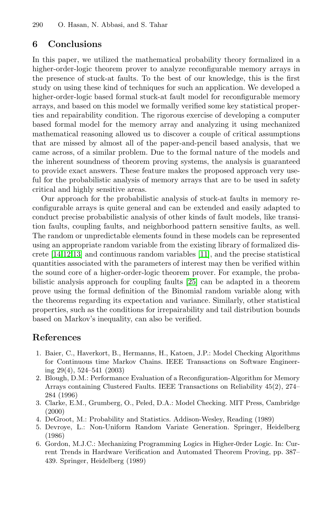### **6 Conclusions**

In this paper, we utilized the mathematical probability theory formalized in a higher-order-logic theorem prover to analyze reconfigurable memory arrays in the presence of stuck-at faults. To the best of our knowledge, this is the first study on using these kind of techniques for such an application. We developed a higher-order-logic based formal stuck-at fault model for reconfigurable memory arrays, and based on this model we formally verified some key statistical properties and repairability condition. The rigorous exercise of developing a computer based formal model for the memory array and analyzing it using mechanized mathematical reasoning allowed us to discover a couple of critical assumptions that are missed by almost all of the paper-and-pencil based analysis, that we came across, of a similar problem. Due to the formal nature of the models and the inherent soundness of theorem proving systems, the analysis is guaranteed to provide exact answers. These feature makes the proposed approach very useful for the probabilistic analys[is o](#page-14-9)f memory arrays that are to be used in safety critical and highly sensitive areas.

Our approach for the probabilistic analysis of stuck-at faults in memory reconfigurable arrays is quit[e ge](#page-14-3)neral and can be extended and easily adapted to conduct precise probabilistic analysis of other kinds of fault models, like transition faults, coupling faults, and neighborhood pattern sensitive faults, as well. The random or unpredictable elements found in these models can be represented using an appropriate random variable from the existing library of formalized discrete [14,12,13] and continuous random variables [11], and the precise statistical quantities associated with the parameters of interest may then be verified within the sound core of a higher-order-logic theorem prover. For example, the probabilistic analysis approach for coupling faults [25] can be adapted in a theorem prove using the formal definition of the Binomial random variable along with the theorems regarding its expectation and variance. Similarly, other statistical properties, such as the conditions for irrepairability and tail distribution bounds based on Markov's inequality, can also be verified.

### <span id="page-13-3"></span><span id="page-13-1"></span><span id="page-13-0"></span>**References**

- 1. Baier, C., Haverkort, B., Hermanns, H., Katoen, J.P.: Model Checking Algorithms for Continuous time Markov Chains. IEEE Transactions on Software Engineering 29(4), 524–541 (2003)
- <span id="page-13-2"></span>2. Blough, D.M.: Performance Evaluation of a Reconfiguration-Algorithm for Memory Arrays containing Clustered Faults. IEEE Transactions on Reliability 45(2), 274– 284 (1996)
- 3. Clarke, E.M., Grumberg, O., Peled, D.A.: Model Checking. MIT Press, Cambridge (2000)
- 4. DeGroot, M.: Probability and Statistics. Addison-Wesley, Reading (1989)
- 5. Devroye, L.: Non-Uniform Random Variate Generation. Springer, Heidelberg (1986)
- 6. Gordon, M.J.C.: Mechanizing Programming Logics in Higher-0rder Logic. In: Current Trends in Hardware Verification and Automated Theorem Proving, pp. 387– 439. Springer, Heidelberg (1989)